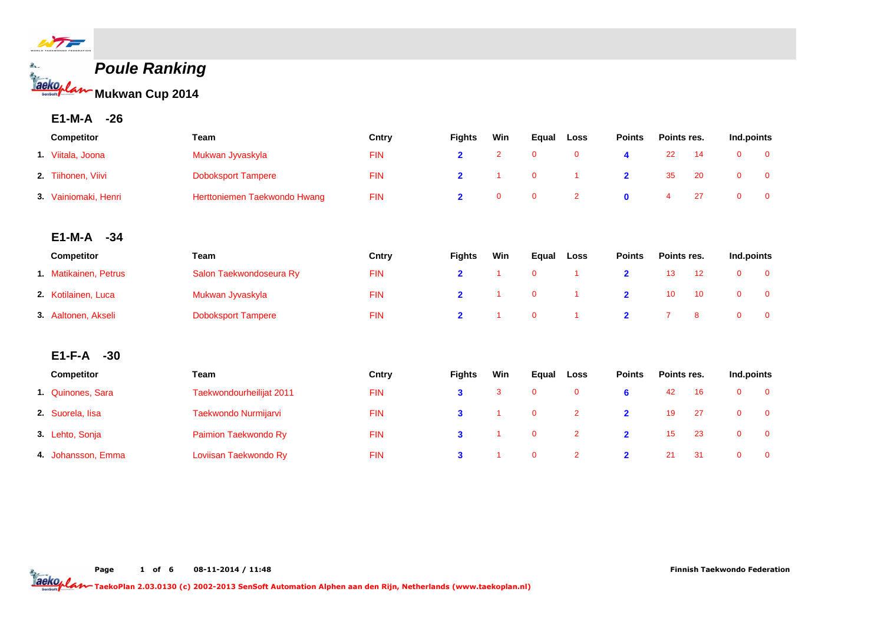

# **Poule Ranking Mukwan Cup 2014**

# **E1-M-A -26**

| Competitor            | Team                         | Cntry      | <b>Fights</b>  | Win            | Equal       | Loss           | <b>Points</b>           | Points res.<br>22<br>14 |    | Ind.points   |                |
|-----------------------|------------------------------|------------|----------------|----------------|-------------|----------------|-------------------------|-------------------------|----|--------------|----------------|
| 1. Viitala, Joona     | Mukwan Jyvaskyla             | <b>FIN</b> | $\overline{2}$ | $\overline{2}$ | $\mathbf 0$ | $\mathbf 0$    | 4                       |                         |    | $\mathbf{0}$ | $\overline{0}$ |
| 2. Tiihonen, Viivi    | <b>Doboksport Tampere</b>    | <b>FIN</b> | $\overline{2}$ |                | $\mathbf 0$ | 1              | $\overline{2}$          | 35                      | 20 | $\mathbf 0$  | $\mathbf 0$    |
| 3. Vainiomaki, Henri  | Herttoniemen Taekwondo Hwang | <b>FIN</b> | $\overline{2}$ | $\mathbf{0}$   | $\mathbf 0$ | $\overline{2}$ | $\mathbf 0$             | $\overline{4}$          | 27 | $\mathbf{0}$ | $\mathbf 0$    |
|                       |                              |            |                |                |             |                |                         |                         |    |              |                |
| $E1-M-A -34$          |                              |            |                |                |             |                |                         |                         |    |              |                |
| Competitor            | <b>Team</b>                  | Cntry      | <b>Fights</b>  | Win            | Equal       | Loss           | <b>Points</b>           | Points res.             |    | Ind.points   |                |
| 1. Matikainen, Petrus | Salon Taekwondoseura Ry      | <b>FIN</b> | $\overline{2}$ |                | $\mathbf 0$ | 1              | $\overline{\mathbf{2}}$ | 13                      | 12 | $\mathbf 0$  | $\mathbf 0$    |
| 2. Kotilainen, Luca   | Mukwan Jyvaskyla             | <b>FIN</b> | $\overline{2}$ |                | $\mathbf 0$ | 1              | $\overline{2}$          | 10                      | 10 | $\mathbf 0$  | $\mathbf 0$    |
| 3. Aaltonen, Akseli   | <b>Doboksport Tampere</b>    | <b>FIN</b> | $\overline{2}$ |                | $\mathbf 0$ | 1              | $\overline{2}$          | $\overline{7}$          | 8  | $\mathbf{0}$ | $\mathbf{0}$   |
| $E1-F-A$<br>$-30$     |                              |            |                |                |             |                |                         |                         |    |              |                |
|                       |                              |            |                |                |             |                |                         |                         |    |              |                |
| Competitor            | Team                         | Cntry      | <b>Fights</b>  | Win            | Equal       | Loss           | <b>Points</b>           | Points res.             |    | Ind.points   |                |
| 1. Quinones, Sara     | Taekwondourheilijat 2011     | <b>FIN</b> | 3              | 3              | $\mathbf 0$ | $\mathbf 0$    | $6\phantom{1}6$         | 42                      | 16 | $\mathbf 0$  | $\mathbf{0}$   |
| 2. Suorela, lisa      | Taekwondo Nurmijarvi         | <b>FIN</b> | 3              |                | $\mathbf 0$ | $\overline{2}$ | $\overline{2}$          | 19                      | 27 | $\mathbf 0$  | $\mathbf 0$    |
| 3. Lehto, Sonja       | Paimion Taekwondo Ry         | <b>FIN</b> | 3              |                | $\mathbf 0$ | $\overline{2}$ | $\overline{2}$          | 15                      | 23 | $\mathbf 0$  | $\mathbf 0$    |
| 4. Johansson, Emma    | Loviisan Taekwondo Ry        | <b>FIN</b> | $\mathbf{3}$   |                | $\mathbf 0$ | $\overline{2}$ | $\overline{2}$          | 21                      | 31 | $\mathbf{0}$ | $\mathbf{0}$   |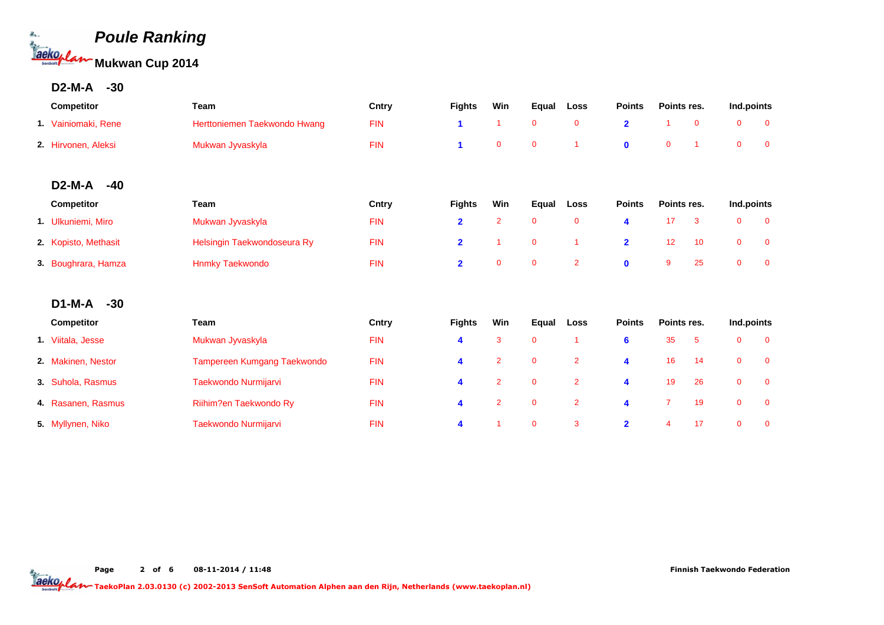

#### **D2-M-A -30**

| Competitor           | <b>Team</b>                  | Cntry      | <b>Fights</b>        | Win            | Equal        | Loss           | <b>Points</b>  | Points res.    |             | Ind.points     |                |
|----------------------|------------------------------|------------|----------------------|----------------|--------------|----------------|----------------|----------------|-------------|----------------|----------------|
| 1. Vainiomaki, Rene  | Herttoniemen Taekwondo Hwang | <b>FIN</b> | $\blacktriangleleft$ | 1              | $\bf{0}$     | $\mathbf 0$    | $\overline{2}$ | -1             | $\mathbf 0$ | $\mathbf 0$    | $\mathbf 0$    |
| 2. Hirvonen, Aleksi  | Mukwan Jyvaskyla             | <b>FIN</b> | 1                    | $\mathbf 0$    | $\mathbf 0$  | 1              | $\mathbf{0}$   | $\mathbf 0$    |             | $\overline{0}$ | $\mathbf 0$    |
|                      |                              |            |                      |                |              |                |                |                |             |                |                |
| $D2-M-A$<br>$-40$    |                              |            |                      |                |              |                |                |                |             |                |                |
| Competitor           | Team                         | Cntry      | <b>Fights</b>        | Win            | <b>Equal</b> | Loss           | <b>Points</b>  | Points res.    |             | Ind.points     |                |
| 1. Ulkuniemi, Miro   | Mukwan Jyvaskyla             | <b>FIN</b> | $\overline{2}$       | $\overline{2}$ | $\mathbf 0$  | $\mathbf 0$    | 4              | 17             | 3           | $\mathbf 0$    | $\mathbf 0$    |
| 2. Kopisto, Methasit | Helsingin Taekwondoseura Ry  | <b>FIN</b> | $\overline{2}$       | 1              | $\mathbf 0$  | 1              | $\overline{2}$ | 12             | 10          | $\mathbf 0$    | $\mathbf 0$    |
| 3. Boughrara, Hamza  | <b>Hnmky Taekwondo</b>       | <b>FIN</b> | $\overline{2}$       | $\mathbf 0$    | $\mathbf 0$  | $\overline{2}$ | $\bf{0}$       | 9              | 25          | $\mathbf{0}$   | $\overline{0}$ |
| $D1-M-A$<br>$-30$    |                              |            |                      |                |              |                |                |                |             |                |                |
| Competitor           | <b>Team</b>                  | Cntry      | <b>Fights</b>        | Win            | Equal        | Loss           | <b>Points</b>  | Points res.    |             | Ind.points     |                |
| 1. Viitala, Jesse    | Mukwan Jyvaskyla             | <b>FIN</b> | 4                    | 3              | $\bf{0}$     | 1              | $6\phantom{a}$ | 35             | 5           | $\mathbf 0$    | $\mathbf 0$    |
| 2. Makinen, Nestor   | Tampereen Kumgang Taekwondo  | <b>FIN</b> | 4                    | $\overline{2}$ | $\mathbf 0$  | $\overline{2}$ | 4              | 16             | 14          | $\mathbf 0$    | $\mathbf 0$    |
| 3. Suhola, Rasmus    | Taekwondo Nurmijarvi         | <b>FIN</b> | 4                    | $\overline{2}$ | $\mathbf 0$  | $\overline{2}$ | 4              | 19             | 26          | $\mathbf 0$    | $\overline{0}$ |
| 4. Rasanen, Rasmus   | Riihim?en Taekwondo Ry       | <b>FIN</b> | 4                    | $\overline{2}$ | $\pmb{0}$    | $\overline{2}$ | 4              | $\overline{7}$ | 19          | $\mathbf 0$    | $\mathbf 0$    |
| 5. Myllynen, Niko    | Taekwondo Nurmijarvi         | <b>FIN</b> | 4                    | 1              | $\mathbf 0$  | 3              | $\overline{2}$ | 4              | 17          | $\mathbf{0}$   | $\mathbf 0$    |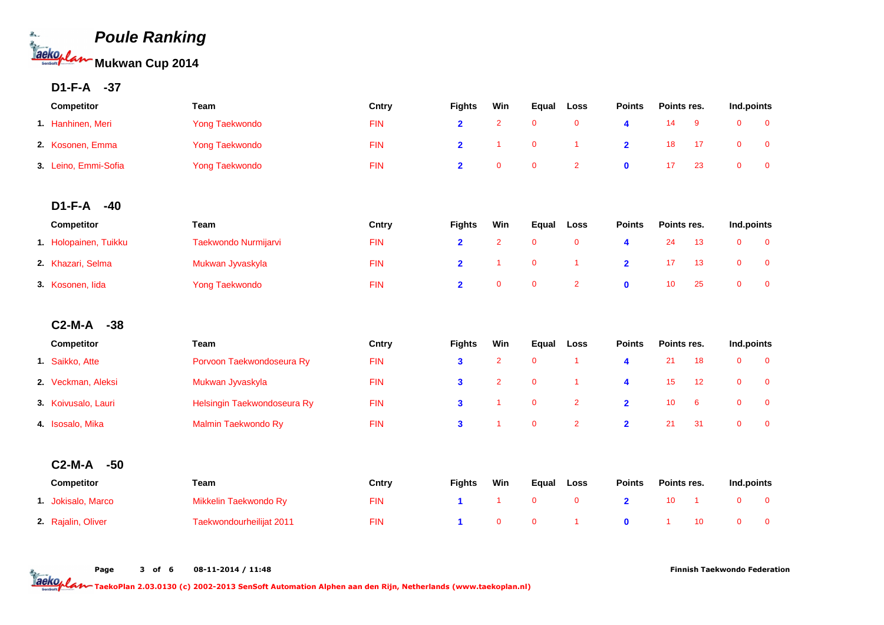

## **D1-F-A -37**

| Competitor            | <b>Team</b>                 | Cntry      | <b>Fights</b>           | Win            | Equal        | Loss           | <b>Points</b>           | Points res. |                | Ind.points     |              |
|-----------------------|-----------------------------|------------|-------------------------|----------------|--------------|----------------|-------------------------|-------------|----------------|----------------|--------------|
| 1. Hanhinen, Meri     | <b>Yong Taekwondo</b>       | <b>FIN</b> | $\overline{2}$          | $\overline{2}$ | $\mathbf 0$  | $\mathbf 0$    | $\blacktriangleleft$    | 14          | 9              | $\mathbf 0$    | $\mathbf 0$  |
| 2 Kosonen, Emma       | <b>Yong Taekwondo</b>       | <b>FIN</b> | $\overline{2}$          | $\overline{1}$ | $\mathbf 0$  | $\overline{1}$ | $\overline{2}$          | 18          | 17             | $\mathbf 0$    | $\mathbf 0$  |
| 3. Leino, Emmi-Sofia  | <b>Yong Taekwondo</b>       | <b>FIN</b> | $\overline{\mathbf{2}}$ | $\mathbf{0}$   | $\mathbf{0}$ | $\overline{2}$ | $\mathbf 0$             | 17          | 23             | $\overline{0}$ | $\mathbf{0}$ |
|                       |                             |            |                         |                |              |                |                         |             |                |                |              |
| $D1-F-A$<br>$-40$     |                             |            |                         |                |              |                |                         |             |                |                |              |
| Competitor            | Team                        | Cntry      | <b>Fights</b>           | Win            | Equal        | Loss           | <b>Points</b>           | Points res. |                | Ind.points     |              |
| 1. Holopainen, Tuikku | Taekwondo Nurmijarvi        | <b>FIN</b> | $\overline{2}$          | $\overline{2}$ | $\mathbf 0$  | $\mathbf 0$    | $\blacktriangleleft$    | 24          | 13             | $\mathbf 0$    | $\mathbf 0$  |
| 2. Khazari, Selma     | Mukwan Jyvaskyla            | <b>FIN</b> | $\overline{2}$          | $\overline{1}$ | $\mathbf 0$  | $\overline{1}$ | $\overline{2}$          | 17          | 13             | $\mathbf 0$    | $\mathbf 0$  |
| 3. Kosonen, lida      | <b>Yong Taekwondo</b>       | <b>FIN</b> | $\overline{\mathbf{2}}$ | $\pmb{0}$      | $\mathbf 0$  | $\overline{2}$ | $\mathbf 0$             | 10          | 25             | $\overline{0}$ | $\mathbf 0$  |
|                       |                             |            |                         |                |              |                |                         |             |                |                |              |
| $C2-M-A$<br>$-38$     |                             |            |                         |                |              |                |                         |             |                |                |              |
| Competitor            | Team                        | Cntry      | <b>Fights</b>           | Win            | Equal        | Loss           | <b>Points</b>           | Points res. |                | Ind.points     |              |
| 1. Saikko, Atte       | Porvoon Taekwondoseura Ry   | <b>FIN</b> | 3                       | $\overline{2}$ | $\mathbf 0$  | $\overline{1}$ | $\overline{\mathbf{4}}$ | 21          | 18             | $\mathbf 0$    | $\mathbf 0$  |
| 2. Veckman, Aleksi    | Mukwan Jyvaskyla            | <b>FIN</b> | $\overline{\mathbf{3}}$ | $\overline{2}$ | $\mathbf 0$  | $\overline{1}$ | 4                       | 15          | 12             | $\mathbf 0$    | $\mathbf 0$  |
| 3. Koivusalo, Lauri   | Helsingin Taekwondoseura Ry | <b>FIN</b> | 3                       | $\overline{1}$ | $\mathbf 0$  | $\overline{2}$ | $\overline{2}$          | 10          | 6              | $\mathbf 0$    | $\mathbf 0$  |
| 4. Isosalo, Mika      | Malmin Taekwondo Ry         | <b>FIN</b> | 3                       | $\overline{1}$ | $\mathbf 0$  | $\overline{2}$ | $\overline{2}$          | 21          | 31             | $\mathbf 0$    | $\mathbf{0}$ |
| $C2-M-A$<br>$-50$     |                             |            |                         |                |              |                |                         |             |                |                |              |
| Competitor            | Team                        | Cntry      | <b>Fights</b>           | Win            | Equal        | Loss           | <b>Points</b>           | Points res. |                | Ind.points     |              |
| 1. Jokisalo, Marco    | Mikkelin Taekwondo Ry       | <b>FIN</b> | 1                       | $\overline{1}$ | $\mathbf 0$  | $\mathbf 0$    | $\overline{2}$          | 10          | $\overline{1}$ | $\mathbf 0$    | $\mathbf 0$  |
| 2. Rajalin, Oliver    | Taekwondourheilijat 2011    | <b>FIN</b> | 1                       | $\mathbf 0$    | $\mathbf 0$  | $\overline{1}$ | $\mathbf 0$             | -1          | 10             | $\mathbf{0}$   | $\mathbf 0$  |

Page 3 of 6 08-11-2014 / 11:48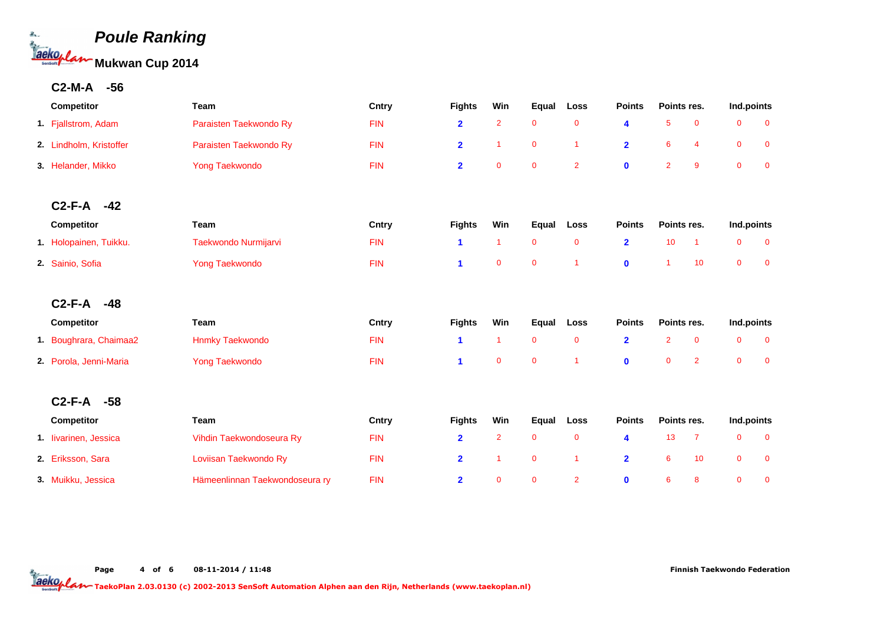

## **C2-M-A -56**

| Competitor              | Team                           | Cntry      | <b>Fights</b>           | Win            | Equal          | Loss           | <b>Points</b>           | Points res.          |                | Ind.points     |                |
|-------------------------|--------------------------------|------------|-------------------------|----------------|----------------|----------------|-------------------------|----------------------|----------------|----------------|----------------|
| 1. Fjallstrom, Adam     | Paraisten Taekwondo Ry         | <b>FIN</b> | $\overline{2}$          | $\overline{2}$ | $\mathbf 0$    | $\mathbf 0$    | 4                       | 5                    | $\mathbf 0$    | 0              | $\overline{0}$ |
| 2. Lindholm, Kristoffer | Paraisten Taekwondo Ry         | <b>FIN</b> | $\overline{2}$          | $\overline{1}$ | $\mathbf 0$    | $\overline{1}$ | $\overline{2}$          | 6                    | $\overline{4}$ | 0              | $\mathbf 0$    |
| 3. Helander, Mikko      | <b>Yong Taekwondo</b>          | <b>FIN</b> | $\overline{\mathbf{2}}$ | $\mathbf{0}$   | $\mathbf{0}$   | $\overline{2}$ | $\mathbf 0$             | $\overline{2}$       | 9              | $\mathbf 0$    | $\overline{0}$ |
| $C2-F-A$<br>$-42$       |                                |            |                         |                |                |                |                         |                      |                |                |                |
| Competitor              | Team                           | Cntry      | <b>Fights</b>           | Win            | Equal          | Loss           | <b>Points</b>           | Points res.          |                | Ind.points     |                |
| 1. Holopainen, Tuikku.  | Taekwondo Nurmijarvi           | <b>FIN</b> | 1                       | $\overline{1}$ | $\mathbf 0$    | $\mathbf{0}$   | $\overline{2}$          | 10                   | $\overline{1}$ | 0              | $\overline{0}$ |
| 2. Sainio, Sofia        | <b>Yong Taekwondo</b>          | <b>FIN</b> | 1                       | $\mathbf{0}$   | $\mathbf 0$    | $\overline{1}$ | $\mathbf{0}$            | $\blacktriangleleft$ | 10             | $\overline{0}$ | $\overline{0}$ |
| $C2-F-A$<br>$-48$       |                                |            |                         |                |                |                |                         |                      |                |                |                |
| Competitor              | Team                           | Cntry      | <b>Fights</b>           | Win            | Equal          | Loss           | <b>Points</b>           | Points res.          |                | Ind.points     |                |
| 1. Boughrara, Chaimaa2  | <b>Hnmky Taekwondo</b>         | <b>FIN</b> | 1                       | $\overline{1}$ | $\overline{0}$ | $\mathbf 0$    | $\overline{\mathbf{2}}$ | $\overline{2}$       | $\mathbf 0$    | 0              | $\mathbf 0$    |
| 2. Porola, Jenni-Maria  | <b>Yong Taekwondo</b>          | <b>FIN</b> | 1                       | $\mathbf{0}$   | $\mathbf 0$    | $\overline{1}$ | $\mathbf 0$             | $\mathbf 0$          | $\overline{2}$ | 0              | $\overline{0}$ |
| $C2-F-A$<br>$-58$       |                                |            |                         |                |                |                |                         |                      |                |                |                |
| Competitor              | Team                           | Cntry      | <b>Fights</b>           | Win            | Equal          | Loss           | <b>Points</b>           | Points res.          |                | Ind.points     |                |
| 1. livarinen, Jessica   | Vihdin Taekwondoseura Ry       | <b>FIN</b> | $\overline{\mathbf{2}}$ | $\overline{2}$ | $\mathbf 0$    | $\mathbf 0$    | $\overline{\mathbf{4}}$ | 13                   | $\overline{7}$ | 0              | $\overline{0}$ |
| 2. Eriksson, Sara       | Loviisan Taekwondo Ry          | <b>FIN</b> | $\overline{2}$          | $\overline{1}$ | $\mathbf 0$    | $\overline{1}$ | $\overline{2}$          | 6                    | 10             | $\mathbf 0$    | $\mathbf 0$    |
| 3. Muikku, Jessica      | Hämeenlinnan Taekwondoseura ry | <b>FIN</b> | $\overline{2}$          | $\mathbf{0}$   | $\mathbf 0$    | $\overline{2}$ | $\mathbf{0}$            | 6                    | 8              | $\overline{0}$ | $\mathbf{0}$   |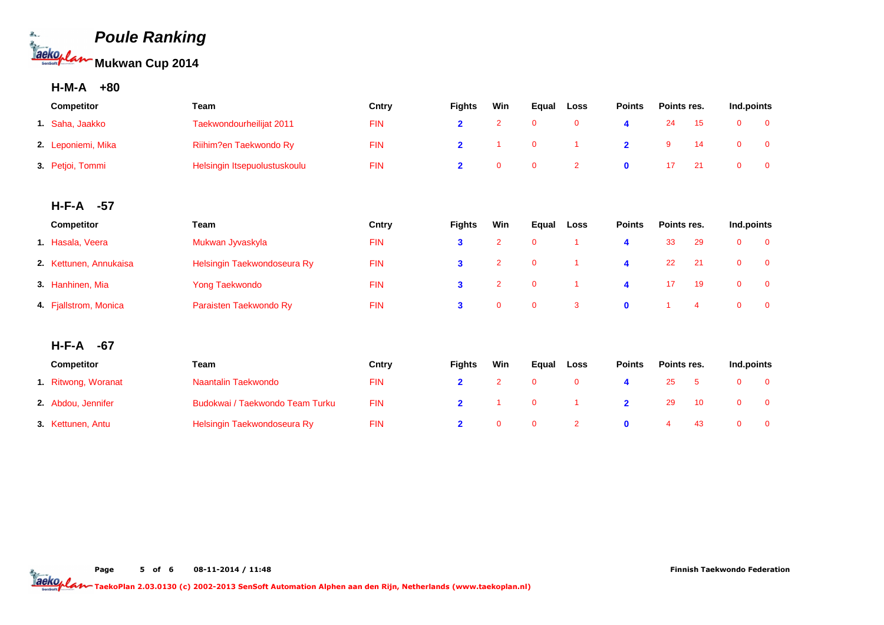

## **H-M-A +80**

| <b>Competitor</b>  | Team                         | Cntry      | Win<br><b>Fights</b> |  | Equal | Loss | <b>Points</b> | Points res. |  | Ind.points |  |
|--------------------|------------------------------|------------|----------------------|--|-------|------|---------------|-------------|--|------------|--|
| 1. Saha, Jaakko    | Taekwondourheilijat 2011     | <b>FIN</b> |                      |  |       |      |               | 24          |  |            |  |
| 2. Leponiemi, Mika | Riihim?en Taekwondo Ry       | <b>FIN</b> |                      |  | 0     |      |               |             |  |            |  |
| 3. Petjoi, Tommi   | Helsingin Itsepuolustuskoulu | <b>FIN</b> |                      |  | 0     |      |               |             |  |            |  |

#### **H-F-A -57**

| <b>Competitor</b>      | Team                        | Cntry      | <b>Fights</b> | Win                     | Equal                   | Loss | <b>Points</b>    | Points res. |      | Ind.points   |  |
|------------------------|-----------------------------|------------|---------------|-------------------------|-------------------------|------|------------------|-------------|------|--------------|--|
| 1. Hasala, Veera       | Mukwan Jyvaskyla            | <b>FIN</b> |               |                         |                         |      |                  | 33          | -29  | 0            |  |
| 2. Kettunen, Annukaisa | Helsingin Taekwondoseura Ry | <b>FIN</b> |               | $\overline{\mathbf{2}}$ | $\overline{\mathbf{0}}$ |      | 4                | 22          | - 21 | $\mathbf{0}$ |  |
| 3. Hanhinen, Mia       | Yong Taekwondo              | <b>FIN</b> | 3             | $\sim$ 2                | $\overline{\mathbf{0}}$ |      | $\blacktriangle$ |             | - 19 | $\mathbf{0}$ |  |
| 4. Fjallstrom, Monica  | Paraisten Taekwondo Ry      | <b>FIN</b> | 3             | 0                       | $\overline{0}$          | -3   |                  |             | 4    |              |  |

#### **H-F-A -67**

| <b>Competitor</b>   | Team                            | Cntrv      | <b>Fights</b> | Win | Equal | Loss           | <b>Points</b> | Points res. |    | Ind.points |  |
|---------------------|---------------------------------|------------|---------------|-----|-------|----------------|---------------|-------------|----|------------|--|
| 1. Ritwong, Woranat | Naantalin Taekwondo             | <b>FIN</b> |               |     |       | 0              |               |             |    |            |  |
| 2. Abdou, Jennifer  | Budokwai / Taekwondo Team Turku | FIN        |               |     |       |                |               | -29         |    |            |  |
| 3. Kettunen, Antu   | Helsingin Taekwondoseura Ry     | FIN        |               |     |       | $\overline{2}$ |               |             | 43 |            |  |